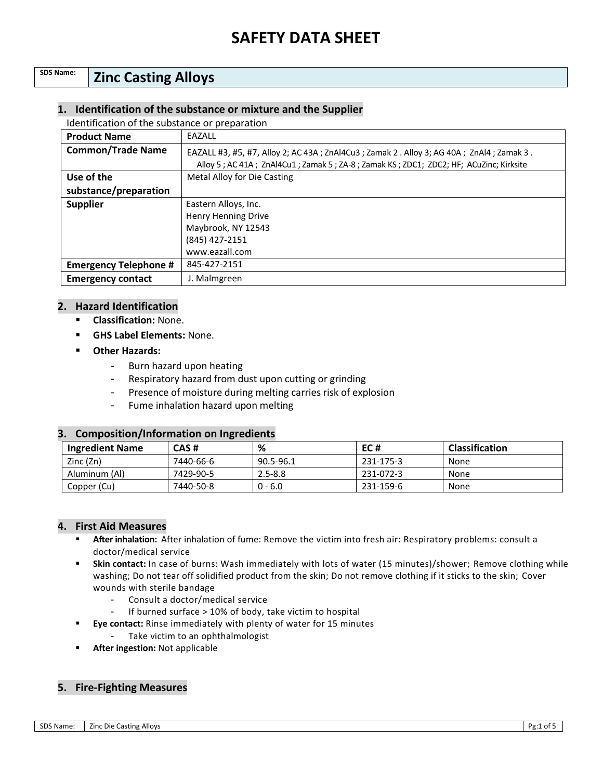## **SDS Name: Zinc Casting Alloys**

### **1. Identification of the substance or mixture and the Supplier**

Identification of the substance or preparation

| <b>Product Name</b>          | EAZALL                                                                                                                                                                            |  |
|------------------------------|-----------------------------------------------------------------------------------------------------------------------------------------------------------------------------------|--|
| <b>Common/Trade Name</b>     | EAZALL #3, #5, #7, Alloy 2; AC 43A; ZnAl4Cu3; Zamak 2 . Alloy 3; AG 40A; ZnAl4; Zamak 3.<br>Alloy 5; AC 41A; ZnAl4Cu1; Zamak 5; ZA-8; Zamak KS; ZDC1; ZDC2; HF; ACuZinc; Kirksite |  |
| Use of the                   | Metal Alloy for Die Casting                                                                                                                                                       |  |
| substance/preparation        |                                                                                                                                                                                   |  |
| <b>Supplier</b>              | Eastern Alloys, Inc.                                                                                                                                                              |  |
|                              | Henry Henning Drive                                                                                                                                                               |  |
|                              | Maybrook, NY 12543                                                                                                                                                                |  |
|                              | (845) 427-2151                                                                                                                                                                    |  |
|                              | www.eazall.com                                                                                                                                                                    |  |
| <b>Emergency Telephone #</b> | 845-427-2151                                                                                                                                                                      |  |
| <b>Emergency contact</b>     | J. Malmgreen                                                                                                                                                                      |  |

#### **2. Hazard Identification**

- **Classification:** None.
- **GHS Label Elements:** None.
- **Other Hazards:** 
	- Burn hazard upon heating
	- Respiratory hazard from dust upon cutting or grinding
	- Presence of moisture during melting carries risk of explosion
	- Fume inhalation hazard upon melting

### **3. Composition/Information on Ingredients**

| <b>Ingredient Name</b> | CAS#      | %           | EC#       | <b>Classification</b> |
|------------------------|-----------|-------------|-----------|-----------------------|
| Zinc(Zn)               | 7440-66-6 | 90.5-96.1   | 231-175-3 | None                  |
| Aluminum (Al)          | 7429-90-5 | $2.5 - 8.8$ | 231-072-3 | None                  |
| Copper (Cu)            | 7440-50-8 | $0 - 6.0$   | 231-159-6 | None                  |

### **4. First Aid Measures**

- **After inhalation:** After inhalation of fume: Remove the victim into fresh air: Respiratory problems: consult a doctor/medical service
- **Skin contact:** In case of burns: Wash immediately with lots of water (15 minutes)/shower; Remove clothing while washing; Do not tear off solidified product from the skin; Do not remove clothing if it sticks to the skin; Cover wounds with sterile bandage
	- Consult a doctor/medical service
	- If burned surface > 10% of body, take victim to hospital
- **Eye contact:** Rinse immediately with plenty of water for 15 minutes
	- Take victim to an ophthalmologist
- **After ingestion: Not applicable**

## **5. Fire-Fighting Measures**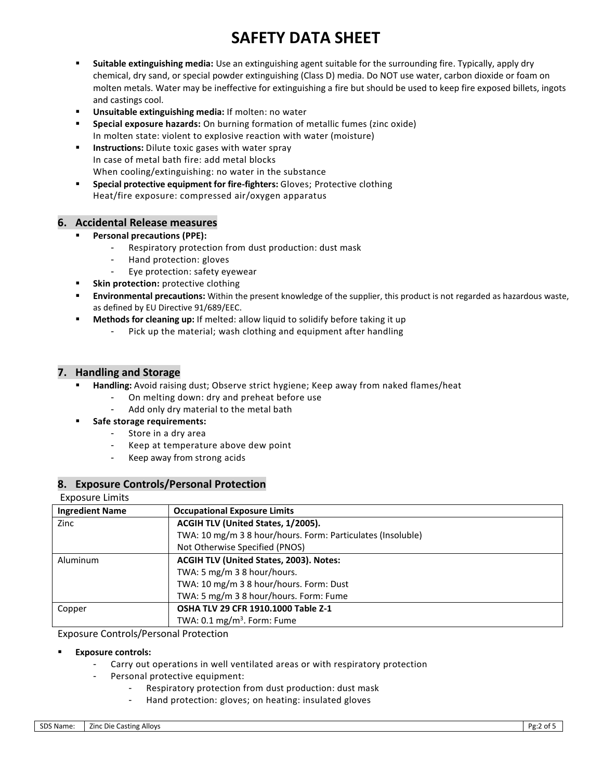- **Suitable extinguishing media:** Use an extinguishing agent suitable for the surrounding fire. Typically, apply dry chemical, dry sand, or special powder extinguishing (Class D) media. Do NOT use water, carbon dioxide or foam on molten metals. Water may be ineffective for extinguishing a fire but should be used to keep fire exposed billets, ingots and castings cool.
- **Unsuitable extinguishing media:** If molten: no water
- **Special exposure hazards:** On burning formation of metallic fumes (zinc oxide) In molten state: violent to explosive reaction with water (moisture)
- **Instructions:** Dilute toxic gases with water spray In case of metal bath fire: add metal blocks When cooling/extinguishing: no water in the substance
- **Special protective equipment for fire-fighters: Gloves; Protective clothing** Heat/fire exposure: compressed air/oxygen apparatus

### **6. Accidental Release measures**

- **Personal precautions (PPE):** 
	- Respiratory protection from dust production: dust mask
	- Hand protection: gloves
	- Eye protection: safety eyewear
- **Skin protection:** protective clothing
- **Environmental precautions:** Within the present knowledge of the supplier, this product is not regarded as hazardous waste, as defined by EU Directive 91/689/EEC.
- **Methods for cleaning up:** If melted: allow liquid to solidify before taking it up
	- Pick up the material; wash clothing and equipment after handling

#### **7. Handling and Storage**

- **Handling:** Avoid raising dust; Observe strict hygiene; Keep away from naked flames/heat
	- On melting down: dry and preheat before use
	- Add only dry material to the metal bath
- **Safe storage requirements:** 
	- Store in a dry area
	- Keep at temperature above dew point
	- Keep away from strong acids

### **8. Exposure Controls/Personal Protection**

#### Exposure Limits

| <b>Ingredient Name</b>                              | <b>Occupational Exposure Limits</b>                         |
|-----------------------------------------------------|-------------------------------------------------------------|
| Zinc                                                | ACGIH TLV (United States, 1/2005).                          |
|                                                     | TWA: 10 mg/m 3 8 hour/hours. Form: Particulates (Insoluble) |
|                                                     | Not Otherwise Specified (PNOS)                              |
| ACGIH TLV (United States, 2003). Notes:<br>Aluminum |                                                             |
|                                                     | TWA: 5 mg/m 3 8 hour/hours.                                 |
|                                                     | TWA: 10 mg/m 3 8 hour/hours. Form: Dust                     |
|                                                     | TWA: 5 mg/m 3 8 hour/hours. Form: Fume                      |
| Copper                                              | OSHA TLV 29 CFR 1910.1000 Table Z-1                         |
|                                                     | TWA: $0.1 \text{ mg/m}^3$ . Form: Fume                      |

#### Exposure Controls/Personal Protection

#### **Exposure controls:**

- Carry out operations in well ventilated areas or with respiratory protection
	- Personal protective equipment:
		- Respiratory protection from dust production: dust mask
		- Hand protection: gloves; on heating: insulated gloves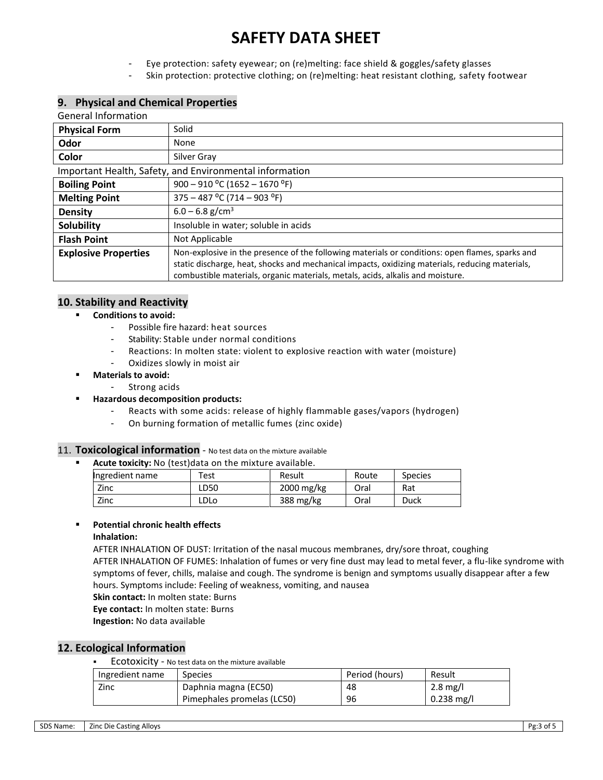- Eye protection: safety eyewear; on (re)melting: face shield & goggles/safety glasses
- Skin protection: protective clothing; on (re)melting: heat resistant clothing, safety footwear

## **9. Physical and Chemical Properties**

| <b>General Information</b>                              |                                                                                                                                                                                                                                                                                      |  |  |
|---------------------------------------------------------|--------------------------------------------------------------------------------------------------------------------------------------------------------------------------------------------------------------------------------------------------------------------------------------|--|--|
| <b>Physical Form</b>                                    | Solid                                                                                                                                                                                                                                                                                |  |  |
| Odor                                                    | None                                                                                                                                                                                                                                                                                 |  |  |
| Color                                                   | Silver Gray                                                                                                                                                                                                                                                                          |  |  |
| Important Health, Safety, and Environmental information |                                                                                                                                                                                                                                                                                      |  |  |
| <b>Boiling Point</b>                                    | $900 - 910$ °C (1652 – 1670 °F)                                                                                                                                                                                                                                                      |  |  |
| <b>Melting Point</b>                                    | $375 - 487$ °C (714 – 903 °F)                                                                                                                                                                                                                                                        |  |  |
| <b>Density</b>                                          | $6.0 - 6.8$ g/cm <sup>3</sup>                                                                                                                                                                                                                                                        |  |  |
| <b>Solubility</b>                                       | Insoluble in water; soluble in acids                                                                                                                                                                                                                                                 |  |  |
| <b>Flash Point</b>                                      | Not Applicable                                                                                                                                                                                                                                                                       |  |  |
| <b>Explosive Properties</b>                             | Non-explosive in the presence of the following materials or conditions: open flames, sparks and<br>static discharge, heat, shocks and mechanical impacts, oxidizing materials, reducing materials,<br>combustible materials, organic materials, metals, acids, alkalis and moisture. |  |  |

#### **10. Stability and Reactivity**

#### **Conditions to avoid:**

- Possible fire hazard: heat sources
- Stability: Stable under normal conditions
- Reactions: In molten state: violent to explosive reaction with water (moisture)
- Oxidizes slowly in moist air
- **Materials to avoid:**
	- Strong acids
- **Hazardous decomposition products:**
	- Reacts with some acids: release of highly flammable gases/vapors (hydrogen)
	- On burning formation of metallic fumes (zinc oxide)

### 11. **Toxicological information** - No test data on the mixture available

**Acute toxicity:** No (test)data on the mixture available.

| Ingredient name | Test        | Result     | Route | <b>Species</b> |
|-----------------|-------------|------------|-------|----------------|
| Zinc            | LD50        | 2000 mg/kg | Oral  | Rat            |
| Zinc            | <b>LDLo</b> | 388 mg/kg  | Oral  | Duck           |

#### **Potential chronic health effects**

#### **Inhalation:**

AFTER INHALATION OF DUST: Irritation of the nasal mucous membranes, dry/sore throat, coughing AFTER INHALATION OF FUMES: Inhalation of fumes or very fine dust may lead to metal fever, a flu-like syndrome with symptoms of fever, chills, malaise and cough. The syndrome is benign and symptoms usually disappear after a few hours. Symptoms include: Feeling of weakness, vomiting, and nausea

- **Skin contact:** In molten state: Burns
- **Eye contact:** In molten state: Burns

**Ingestion:** No data available

### **12. Ecological Information**

**ECOTOXICITY** - No test data on the mixture available

| Ingredient name | <b>Species</b>             | Period (hours) | Result       |
|-----------------|----------------------------|----------------|--------------|
| Zinc            | Daphnia magna (EC50)       | 48             | 2.8 mg/l     |
|                 | Pimephales promelas (LC50) | 96             | $0.238$ mg/l |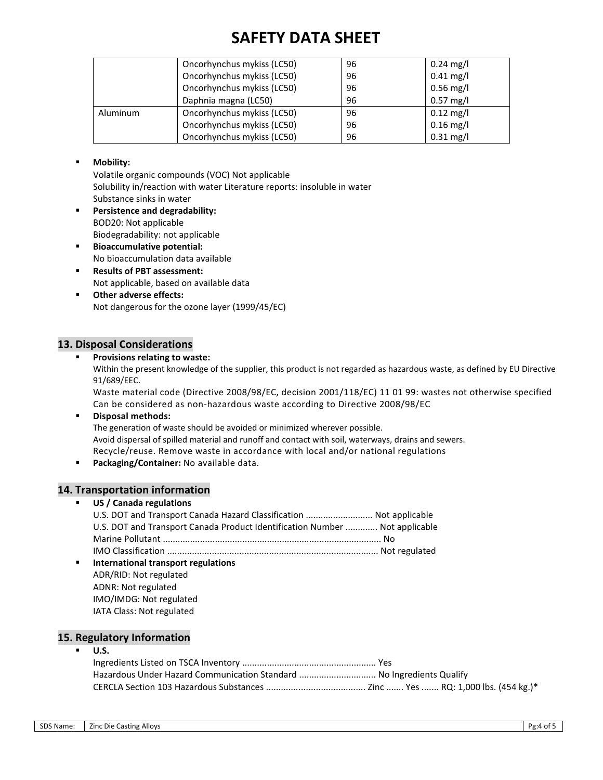|                            | Oncorhynchus mykiss (LC50) | 96 | $0.24 \text{ mg/l}$ |
|----------------------------|----------------------------|----|---------------------|
|                            | Oncorhynchus mykiss (LC50) | 96 | $0.41$ mg/l         |
| Oncorhynchus mykiss (LC50) |                            | 96 | $0.56$ mg/l         |
| Daphnia magna (LC50)       |                            | 96 | $0.57$ mg/l         |
| Aluminum                   | Oncorhynchus mykiss (LC50) | 96 | $0.12$ mg/l         |
|                            | Oncorhynchus mykiss (LC50) | 96 | $0.16$ mg/l         |
|                            | Oncorhynchus mykiss (LC50) | 96 | $0.31$ mg/l         |

#### **Mobility:**

Volatile organic compounds (VOC) Not applicable Solubility in/reaction with water Literature reports: insoluble in water Substance sinks in water

- **Persistence and degradability:** BOD20: Not applicable Biodegradability: not applicable
- **Bioaccumulative potential:** No bioaccumulation data available
- **Results of PBT assessment:** Not applicable, based on available data
- **Other adverse effects:** Not dangerous for the ozone layer (1999/45/EC)

## **13. Disposal Considerations**

#### **Provisions relating to waste:**

Within the present knowledge of the supplier, this product is not regarded as hazardous waste, as defined by EU Directive 91/689/EEC.

Waste material code (Directive 2008/98/EC, decision 2001/118/EC) 11 01 99: wastes not otherwise specified Can be considered as non-hazardous waste according to Directive 2008/98/EC

**Disposal methods:**

The generation of waste should be avoided or minimized wherever possible. Avoid dispersal of spilled material and runoff and contact with soil, waterways, drains and sewers. Recycle/reuse. Remove waste in accordance with local and/or national regulations

**Packaging/Container:** No available data.

### **14. Transportation information**

#### **US / Canada regulations**

|                | U.S. DOT and Transport Canada Hazard Classification  Not applicable         |  |
|----------------|-----------------------------------------------------------------------------|--|
|                | U.S. DOT and Transport Canada Product Identification Number  Not applicable |  |
|                |                                                                             |  |
|                |                                                                             |  |
| $\blacksquare$ | International transport regulations                                         |  |
|                | ADR/RID: Not regulated                                                      |  |
|                | ADNR: Not regulated                                                         |  |
|                | IMO/IMDG: Not regulated                                                     |  |
|                | IATA Class: Not regulated                                                   |  |

### **15. Regulatory Information**

#### **U.S.** Ingredients Listed on TSCA Inventory ...................................................... Yes Hazardous Under Hazard Communication Standard ............................... No Ingredients Qualify CERCLA Section 103 Hazardous Substances ........................................ Zinc ....... Yes ....... RQ: 1,000 lbs. (454 kg.)\*